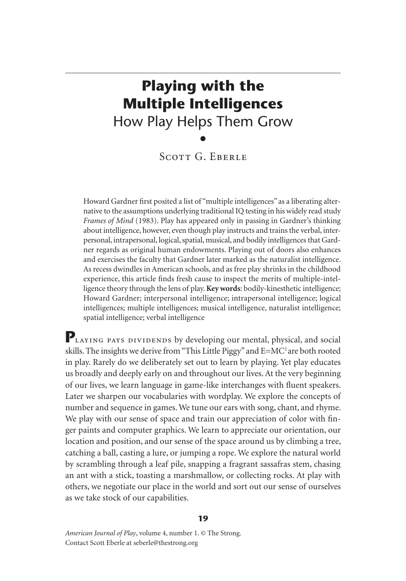# **Playing with the Multiple Intelligences** How Play Helps Them Grow •

SCOTT G. EBERLE

Howard Gardner first posited a list of "multiple intelligences" as a liberating alternative to the assumptions underlying traditional IQ testing in his widely read study *Frames of Mind* (1983). Play has appeared only in passing in Gardner's thinking about intelligence, however, even though play instructs and trains the verbal, interpersonal, intrapersonal, logical, spatial, musical, and bodily intelligences that Gardner regards as original human endowments. Playing out of doors also enhances and exercises the faculty that Gardner later marked as the naturalist intelligence. As recess dwindles in American schools, and as free play shrinks in the childhood experience, this article finds fresh cause to inspect the merits of multiple-intelligence theory through the lens of play. **Key words**: bodily-kinesthetic intelligence; Howard Gardner; interpersonal intelligence; intrapersonal intelligence; logical intelligences; multiple intelligences; musical intelligence, naturalist intelligence; spatial intelligence; verbal intelligence

PLAYING PAYS DIVIDENDS by developing our mental, physical, and social skills. The insights we derive from "This Little Piggy" and E=MC<sup>2</sup> are both rooted in play. Rarely do we deliberately set out to learn by playing. Yet play educates us broadly and deeply early on and throughout our lives. At the very beginning of our lives, we learn language in game-like interchanges with fluent speakers. Later we sharpen our vocabularies with wordplay. We explore the concepts of number and sequence in games. We tune our ears with song, chant, and rhyme. We play with our sense of space and train our appreciation of color with finger paints and computer graphics. We learn to appreciate our orientation, our location and position, and our sense of the space around us by climbing a tree, catching a ball, casting a lure, or jumping a rope. We explore the natural world by scrambling through a leaf pile, snapping a fragrant sassafras stem, chasing an ant with a stick, toasting a marshmallow, or collecting rocks. At play with others, we negotiate our place in the world and sort out our sense of ourselves as we take stock of our capabilities.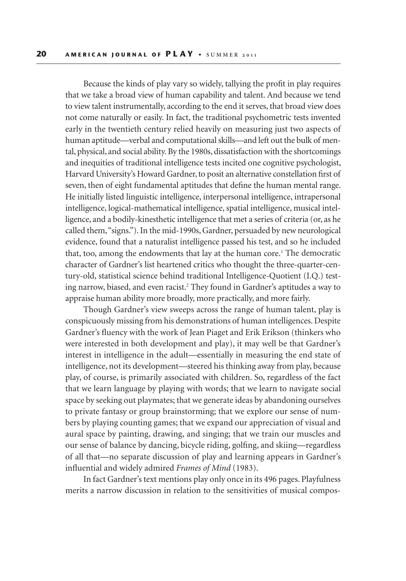Because the kinds of play vary so widely, tallying the profit in play requires that we take a broad view of human capability and talent. And because we tend to view talent instrumentally, according to the end it serves, that broad view does not come naturally or easily. In fact, the traditional psychometric tests invented early in the twentieth century relied heavily on measuring just two aspects of human aptitude—verbal and computational skills—and left out the bulk of mental, physical, and social ability. By the 1980s, dissatisfaction with the shortcomings and inequities of traditional intelligence tests incited one cognitive psychologist, Harvard University's Howard Gardner, to posit an alternative constellation first of seven, then of eight fundamental aptitudes that define the human mental range. He initially listed linguistic intelligence, interpersonal intelligence, intrapersonal intelligence, logical-mathematical intelligence, spatial intelligence, musical intelligence, and a bodily-kinesthetic intelligence that met a series of criteria (or, as he called them, "signs."). In the mid-1990s, Gardner, persuaded by new neurological evidence, found that a naturalist intelligence passed his test, and so he included that, too, among the endowments that lay at the human core.<sup>1</sup> The democratic character of Gardner's list heartened critics who thought the three-quarter-century-old, statistical science behind traditional Intelligence-Quotient (I.Q.) testing narrow, biased, and even racist.2 They found in Gardner's aptitudes a way to appraise human ability more broadly, more practically, and more fairly.

Though Gardner's view sweeps across the range of human talent, play is conspicuously missing from his demonstrations of human intelligences. Despite Gardner's fluency with the work of Jean Piaget and Erik Erikson (thinkers who were interested in both development and play), it may well be that Gardner's interest in intelligence in the adult—essentially in measuring the end state of intelligence, not its development—steered his thinking away from play, because play, of course, is primarily associated with children. So, regardless of the fact that we learn language by playing with words; that we learn to navigate social space by seeking out playmates; that we generate ideas by abandoning ourselves to private fantasy or group brainstorming; that we explore our sense of numbers by playing counting games; that we expand our appreciation of visual and aural space by painting, drawing, and singing; that we train our muscles and our sense of balance by dancing, bicycle riding, golfing, and skiing—regardless of all that—no separate discussion of play and learning appears in Gardner's influential and widely admired *Frames of Mind* (1983).

In fact Gardner's text mentions play only once in its 496 pages. Playfulness merits a narrow discussion in relation to the sensitivities of musical compos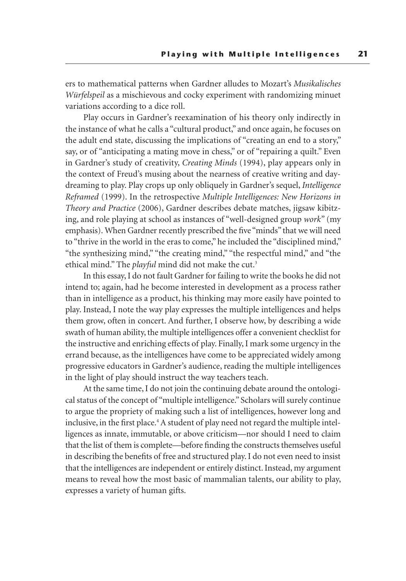ers to mathematical patterns when Gardner alludes to Mozart's *Musikalisches Würfelspeil* as a mischievous and cocky experiment with randomizing minuet variations according to a dice roll.

Play occurs in Gardner's reexamination of his theory only indirectly in the instance of what he calls a "cultural product," and once again, he focuses on the adult end state, discussing the implications of "creating an end to a story," say, or of "anticipating a mating move in chess," or of "repairing a quilt." Even in Gardner's study of creativity, *Creating Minds* (1994), play appears only in the context of Freud's musing about the nearness of creative writing and daydreaming to play. Play crops up only obliquely in Gardner's sequel, *Intelligence Reframed* (1999). In the retrospective *Multiple Intelligences: New Horizons in Theory and Practice* (2006), Gardner describes debate matches, jigsaw kibitzing, and role playing at school as instances of "well-designed group *work"* (my emphasis). When Gardner recently prescribed the five "minds" that we will need to "thrive in the world in the eras to come," he included the "disciplined mind," "the synthesizing mind," "the creating mind," "the respectful mind," and "the ethical mind." The *playful* mind did not make the cut.3

In this essay, I do not fault Gardner for failing to write the books he did not intend to; again, had he become interested in development as a process rather than in intelligence as a product, his thinking may more easily have pointed to play. Instead, I note the way play expresses the multiple intelligences and helps them grow, often in concert. And further, I observe how, by describing a wide swath of human ability, the multiple intelligences offer a convenient checklist for the instructive and enriching effects of play. Finally, I mark some urgency in the errand because, as the intelligences have come to be appreciated widely among progressive educators in Gardner's audience, reading the multiple intelligences in the light of play should instruct the way teachers teach.

At the same time, I do not join the continuing debate around the ontological status of the concept of "multiple intelligence." Scholars will surely continue to argue the propriety of making such a list of intelligences, however long and inclusive, in the first place.<sup>4</sup> A student of play need not regard the multiple intelligences as innate, immutable, or above criticism—nor should I need to claim that the list of them is complete—before finding the constructs themselves useful in describing the benefits of free and structured play. I do not even need to insist that the intelligences are independent or entirely distinct. Instead, my argument means to reveal how the most basic of mammalian talents, our ability to play, expresses a variety of human gifts.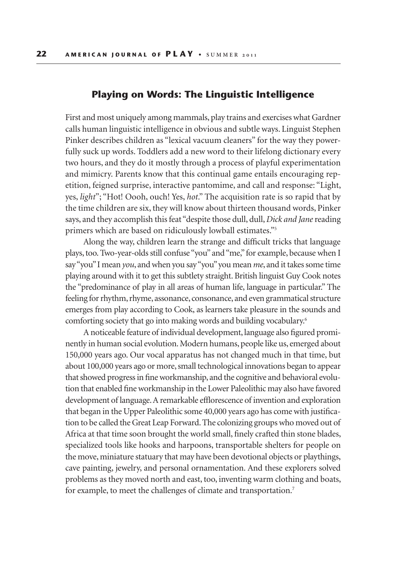#### **Playing on Words: The Linguistic Intelligence**

First and most uniquely among mammals, play trains and exercises what Gardner calls human linguistic intelligence in obvious and subtle ways. Linguist Stephen Pinker describes children as "lexical vacuum cleaners" for the way they powerfully suck up words. Toddlers add a new word to their lifelong dictionary every two hours, and they do it mostly through a process of playful experimentation and mimicry. Parents know that this continual game entails encouraging repetition, feigned surprise, interactive pantomime, and call and response: "Light, yes, *light*"; "Hot! Oooh, ouch! Yes, *hot*." The acquisition rate is so rapid that by the time children are six, they will know about thirteen thousand words, Pinker says, and they accomplish this feat "despite those dull, dull, *Dick and Jane* reading primers which are based on ridiculously lowball estimates."5

Along the way, children learn the strange and difficult tricks that language plays, too. Two-year-olds still confuse "you" and "me," for example, because when I say "you" I mean *you*, and when you say "you" you mean *me*, and it takes some time playing around with it to get this subtlety straight. British linguist Guy Cook notes the "predominance of play in all areas of human life, language in particular." The feeling for rhythm, rhyme, assonance, consonance, and even grammatical structure emerges from play according to Cook, as learners take pleasure in the sounds and comforting society that go into making words and building vocabulary.6

A noticeable feature of individual development, language also figured prominently in human social evolution. Modern humans, people like us, emerged about 150,000 years ago. Our vocal apparatus has not changed much in that time, but about 100,000 years ago or more, small technological innovations began to appear that showed progress in fine workmanship, and the cognitive and behavioral evolution that enabled fine workmanship in the Lower Paleolithic may also have favored development of language. A remarkable efflorescence of invention and exploration that began in the Upper Paleolithic some 40,000 years ago has come with justification to be called the Great Leap Forward. The colonizing groups who moved out of Africa at that time soon brought the world small, finely crafted thin stone blades, specialized tools like hooks and harpoons, transportable shelters for people on the move, miniature statuary that may have been devotional objects or playthings, cave painting, jewelry, and personal ornamentation. And these explorers solved problems as they moved north and east, too, inventing warm clothing and boats, for example, to meet the challenges of climate and transportation.<sup>7</sup>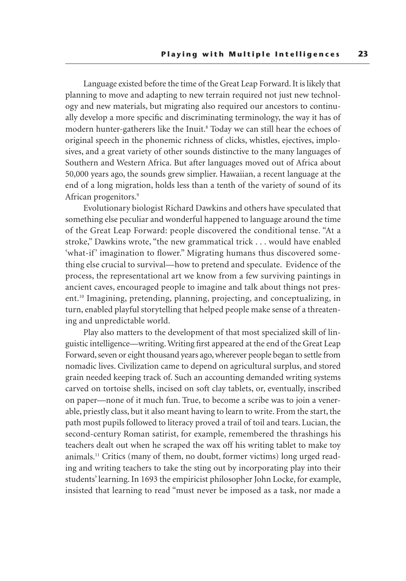Language existed before the time of the Great Leap Forward. It is likely that planning to move and adapting to new terrain required not just new technology and new materials, but migrating also required our ancestors to continually develop a more specific and discriminating terminology, the way it has of modern hunter-gatherers like the Inuit.<sup>8</sup> Today we can still hear the echoes of original speech in the phonemic richness of clicks, whistles, ejectives, implosives, and a great variety of other sounds distinctive to the many languages of Southern and Western Africa. But after languages moved out of Africa about 50,000 years ago, the sounds grew simplier. Hawaiian, a recent language at the end of a long migration, holds less than a tenth of the variety of sound of its African progenitors.9

Evolutionary biologist Richard Dawkins and others have speculated that something else peculiar and wonderful happened to language around the time of the Great Leap Forward: people discovered the conditional tense. "At a stroke," Dawkins wrote, "the new grammatical trick . . . would have enabled 'what-if' imagination to flower." Migrating humans thus discovered something else crucial to survival—how to pretend and speculate. Evidence of the process, the representational art we know from a few surviving paintings in ancient caves, encouraged people to imagine and talk about things not present.10 Imagining, pretending, planning, projecting, and conceptualizing, in turn, enabled playful storytelling that helped people make sense of a threatening and unpredictable world.

Play also matters to the development of that most specialized skill of linguistic intelligence—writing. Writing first appeared at the end of the Great Leap Forward, seven or eight thousand years ago, wherever people began to settle from nomadic lives. Civilization came to depend on agricultural surplus, and stored grain needed keeping track of. Such an accounting demanded writing systems carved on tortoise shells, incised on soft clay tablets, or, eventually, inscribed on paper—none of it much fun. True, to become a scribe was to join a venerable, priestly class, but it also meant having to learn to write. From the start, the path most pupils followed to literacy proved a trail of toil and tears. Lucian, the second-century Roman satirist, for example, remembered the thrashings his teachers dealt out when he scraped the wax off his writing tablet to make toy animals.11 Critics (many of them, no doubt, former victims) long urged reading and writing teachers to take the sting out by incorporating play into their students' learning. In 1693 the empiricist philosopher John Locke, for example, insisted that learning to read "must never be imposed as a task, nor made a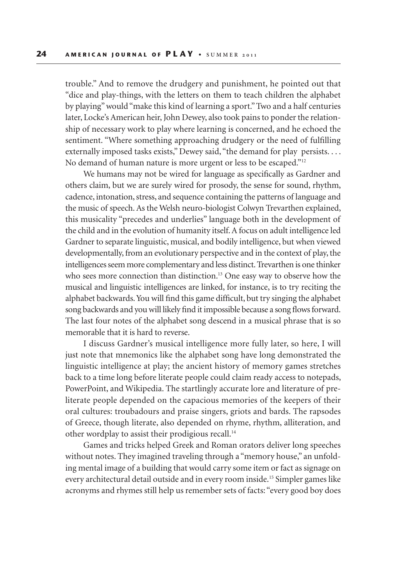trouble." And to remove the drudgery and punishment, he pointed out that "dice and play-things, with the letters on them to teach children the alphabet by playing" would "make this kind of learning a sport." Two and a half centuries later, Locke's American heir, John Dewey, also took pains to ponder the relationship of necessary work to play where learning is concerned, and he echoed the sentiment. "Where something approaching drudgery or the need of fulfilling externally imposed tasks exists," Dewey said, "the demand for play persists.... No demand of human nature is more urgent or less to be escaped."12

We humans may not be wired for language as specifically as Gardner and others claim, but we are surely wired for prosody, the sense for sound, rhythm, cadence, intonation, stress, and sequence containing the patterns of language and the music of speech. As the Welsh neuro-biologist Colwyn Trevarthen explained, this musicality "precedes and underlies" language both in the development of the child and in the evolution of humanity itself. A focus on adult intelligence led Gardner to separate linguistic, musical, and bodily intelligence, but when viewed developmentally, from an evolutionary perspective and in the context of play, the intelligences seem more complementary and less distinct. Trevarthen is one thinker who sees more connection than distinction.<sup>13</sup> One easy way to observe how the musical and linguistic intelligences are linked, for instance, is to try reciting the alphabet backwards. You will find this game difficult, but try singing the alphabet song backwards and you will likely find it impossible because a song flows forward. The last four notes of the alphabet song descend in a musical phrase that is so memorable that it is hard to reverse.

I discuss Gardner's musical intelligence more fully later, so here, I will just note that mnemonics like the alphabet song have long demonstrated the linguistic intelligence at play; the ancient history of memory games stretches back to a time long before literate people could claim ready access to notepads, PowerPoint, and Wikipedia. The startlingly accurate lore and literature of preliterate people depended on the capacious memories of the keepers of their oral cultures: troubadours and praise singers, griots and bards. The rapsodes of Greece, though literate, also depended on rhyme, rhythm, alliteration, and other wordplay to assist their prodigious recall.14

Games and tricks helped Greek and Roman orators deliver long speeches without notes. They imagined traveling through a "memory house," an unfolding mental image of a building that would carry some item or fact as signage on every architectural detail outside and in every room inside.15 Simpler games like acronyms and rhymes still help us remember sets of facts: "every good boy does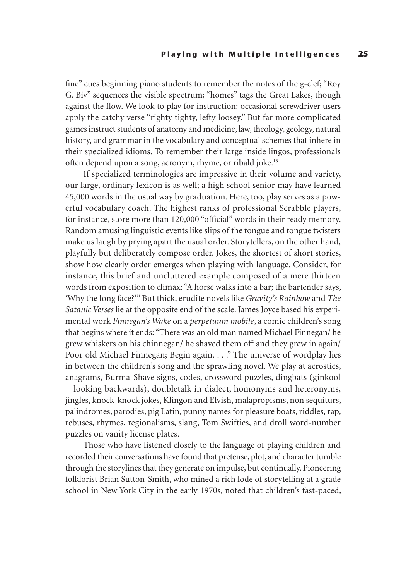fine" cues beginning piano students to remember the notes of the g-clef; "Roy G. Biv" sequences the visible spectrum; "homes" tags the Great Lakes, though against the flow. We look to play for instruction: occasional screwdriver users apply the catchy verse "righty tighty, lefty loosey." But far more complicated games instruct students of anatomy and medicine, law, theology, geology, natural history, and grammar in the vocabulary and conceptual schemes that inhere in their specialized idioms. To remember their large inside lingos, professionals often depend upon a song, acronym, rhyme, or ribald joke.16

If specialized terminologies are impressive in their volume and variety, our large, ordinary lexicon is as well; a high school senior may have learned 45,000 words in the usual way by graduation. Here, too, play serves as a powerful vocabulary coach. The highest ranks of professional Scrabble players, for instance, store more than 120,000 "official" words in their ready memory. Random amusing linguistic events like slips of the tongue and tongue twisters make us laugh by prying apart the usual order. Storytellers, on the other hand, playfully but deliberately compose order. Jokes, the shortest of short stories, show how clearly order emerges when playing with language. Consider, for instance, this brief and uncluttered example composed of a mere thirteen words from exposition to climax: "A horse walks into a bar; the bartender says, 'Why the long face?'" But thick, erudite novels like *Gravity's Rainbow* and *The Satanic Verses* lie at the opposite end of the scale. James Joyce based his experimental work *Finnegan's Wake* on a *perpetuum mobile*, a comic children's song that begins where it ends: "There was an old man named Michael Finnegan/ he grew whiskers on his chinnegan/ he shaved them off and they grew in again/ Poor old Michael Finnegan; Begin again. . . ." The universe of wordplay lies in between the children's song and the sprawling novel. We play at acrostics, anagrams, Burma-Shave signs, codes, crossword puzzles, dingbats (ginkool = looking backwards), doubletalk in dialect, homonyms and heteronyms, jingles, knock-knock jokes, Klingon and Elvish, malapropisms, non sequiturs, palindromes, parodies, pig Latin, punny names for pleasure boats, riddles, rap, rebuses, rhymes, regionalisms, slang, Tom Swifties, and droll word-number puzzles on vanity license plates.

Those who have listened closely to the language of playing children and recorded their conversations have found that pretense, plot, and character tumble through the storylines that they generate on impulse, but continually. Pioneering folklorist Brian Sutton-Smith, who mined a rich lode of storytelling at a grade school in New York City in the early 1970s, noted that children's fast-paced,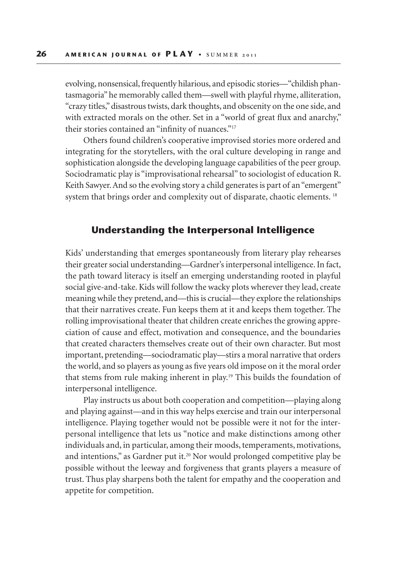evolving, nonsensical, frequently hilarious, and episodic stories—"childish phantasmagoria" he memorably called them—swell with playful rhyme, alliteration, "crazy titles," disastrous twists, dark thoughts, and obscenity on the one side, and with extracted morals on the other. Set in a "world of great flux and anarchy," their stories contained an "infinity of nuances."<sup>17</sup>

Others found children's cooperative improvised stories more ordered and integrating for the storytellers, with the oral culture developing in range and sophistication alongside the developing language capabilities of the peer group. Sociodramatic play is "improvisational rehearsal" to sociologist of education R. Keith Sawyer. And so the evolving story a child generates is part of an "emergent" system that brings order and complexity out of disparate, chaotic elements.<sup>18</sup>

#### **Understanding the Interpersonal Intelligence**

Kids' understanding that emerges spontaneously from literary play rehearses their greater social understanding—Gardner's interpersonal intelligence. In fact, the path toward literacy is itself an emerging understanding rooted in playful social give-and-take. Kids will follow the wacky plots wherever they lead, create meaning while they pretend, and—this is crucial—they explore the relationships that their narratives create. Fun keeps them at it and keeps them together. The rolling improvisational theater that children create enriches the growing appreciation of cause and effect, motivation and consequence, and the boundaries that created characters themselves create out of their own character. But most important, pretending—sociodramatic play—stirs a moral narrative that orders the world, and so players as young as five years old impose on it the moral order that stems from rule making inherent in play.19 This builds the foundation of interpersonal intelligence.

Play instructs us about both cooperation and competition—playing along and playing against—and in this way helps exercise and train our interpersonal intelligence. Playing together would not be possible were it not for the interpersonal intelligence that lets us "notice and make distinctions among other individuals and, in particular, among their moods, temperaments, motivations, and intentions," as Gardner put it.<sup>20</sup> Nor would prolonged competitive play be possible without the leeway and forgiveness that grants players a measure of trust. Thus play sharpens both the talent for empathy and the cooperation and appetite for competition.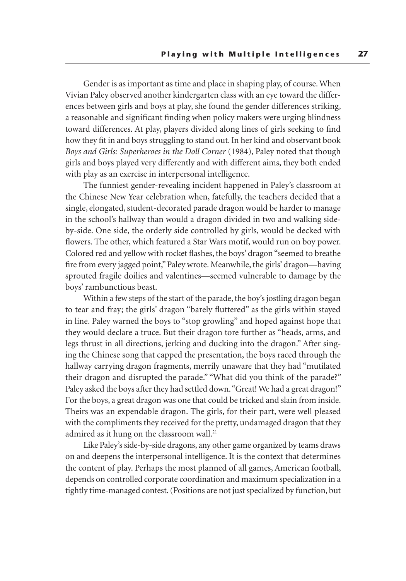Gender is as important as time and place in shaping play, of course. When Vivian Paley observed another kindergarten class with an eye toward the differences between girls and boys at play, she found the gender differences striking, a reasonable and significant finding when policy makers were urging blindness toward differences. At play, players divided along lines of girls seeking to find how they fit in and boys struggling to stand out. In her kind and observant book *Boys and Girls: Superheroes in the Doll Corner* (1984), Paley noted that though girls and boys played very differently and with different aims, they both ended with play as an exercise in interpersonal intelligence.

The funniest gender-revealing incident happened in Paley's classroom at the Chinese New Year celebration when, fatefully, the teachers decided that a single, elongated, student-decorated parade dragon would be harder to manage in the school's hallway than would a dragon divided in two and walking sideby-side. One side, the orderly side controlled by girls, would be decked with flowers. The other, which featured a Star Wars motif, would run on boy power. Colored red and yellow with rocket flashes, the boys' dragon "seemed to breathe fire from every jagged point," Paley wrote. Meanwhile, the girls' dragon—having sprouted fragile doilies and valentines—seemed vulnerable to damage by the boys' rambunctious beast.

Within a few steps of the start of the parade, the boy's jostling dragon began to tear and fray; the girls' dragon "barely fluttered" as the girls within stayed in line. Paley warned the boys to "stop growling" and hoped against hope that they would declare a truce. But their dragon tore further as "heads, arms, and legs thrust in all directions, jerking and ducking into the dragon." After singing the Chinese song that capped the presentation, the boys raced through the hallway carrying dragon fragments, merrily unaware that they had "mutilated their dragon and disrupted the parade." "What did you think of the parade?" Paley asked the boys after they had settled down. "Great! We had a great dragon!" For the boys, a great dragon was one that could be tricked and slain from inside. Theirs was an expendable dragon. The girls, for their part, were well pleased with the compliments they received for the pretty, undamaged dragon that they admired as it hung on the classroom wall.<sup>21</sup>

Like Paley's side-by-side dragons, any other game organized by teams draws on and deepens the interpersonal intelligence. It is the context that determines the content of play. Perhaps the most planned of all games, American football, depends on controlled corporate coordination and maximum specialization in a tightly time-managed contest. (Positions are not just specialized by function, but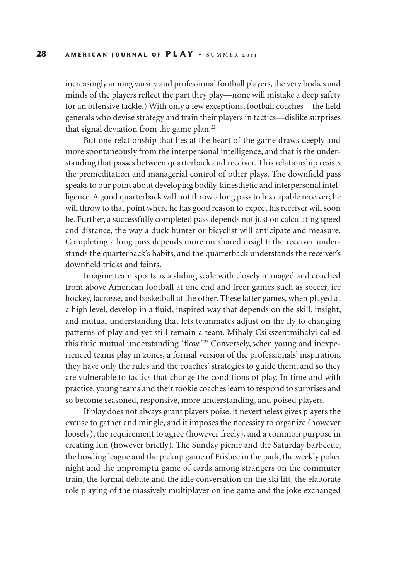increasingly among varsity and professional football players, the very bodies and minds of the players reflect the part they play—none will mistake a deep safety for an offensive tackle.) With only a few exceptions, football coaches—the field generals who devise strategy and train their players in tactics—dislike surprises that signal deviation from the game plan.<sup>22</sup>

But one relationship that lies at the heart of the game draws deeply and more spontaneously from the interpersonal intelligence, and that is the understanding that passes between quarterback and receiver. This relationship resists the premeditation and managerial control of other plays. The downfield pass speaks to our point about developing bodily-kinesthetic and interpersonal intelligence. A good quarterback will not throw a long pass to his capable receiver; he will throw to that point where he has good reason to expect his receiver will soon be. Further, a successfully completed pass depends not just on calculating speed and distance, the way a duck hunter or bicyclist will anticipate and measure. Completing a long pass depends more on shared insight: the receiver understands the quarterback's habits, and the quarterback understands the receiver's downfield tricks and feints.

Imagine team sports as a sliding scale with closely managed and coached from above American football at one end and freer games such as soccer, ice hockey, lacrosse, and basketball at the other. These latter games, when played at a high level, develop in a fluid, inspired way that depends on the skill, insight, and mutual understanding that lets teammates adjust on the fly to changing patterns of play and yet still remain a team. Mihaly Csikszentmihalyi called this fluid mutual understanding "flow."23 Conversely, when young and inexperienced teams play in zones, a formal version of the professionals' inspiration, they have only the rules and the coaches' strategies to guide them, and so they are vulnerable to tactics that change the conditions of play. In time and with practice, young teams and their rookie coaches learn to respond to surprises and so become seasoned, responsive, more understanding, and poised players.

If play does not always grant players poise, it nevertheless gives players the excuse to gather and mingle, and it imposes the necessity to organize (however loosely), the requirement to agree (however freely), and a common purpose in creating fun (however briefly). The Sunday picnic and the Saturday barbecue, the bowling league and the pickup game of Frisbee in the park, the weekly poker night and the impromptu game of cards among strangers on the commuter train, the formal debate and the idle conversation on the ski lift, the elaborate role playing of the massively multiplayer online game and the joke exchanged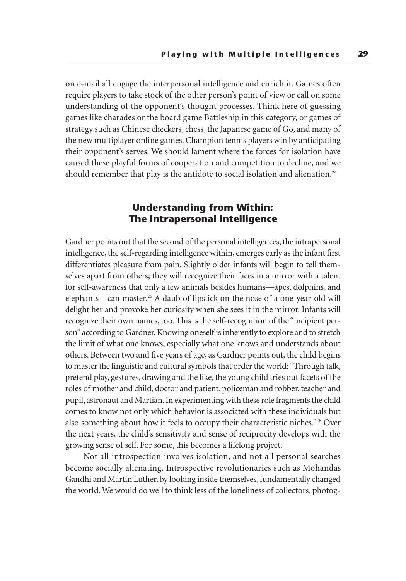on e-mail all engage the interpersonal intelligence and enrich it. Games often require players to take stock of the other person's point of view or call on some understanding of the opponent's thought processes. Think here of guessing games like charades or the board game Battleship in this category, or games of strategy such as Chinese checkers, chess, the Japanese game of Go, and many of the new multiplayer online games. Champion tennis players win by anticipating their opponent's serves. We should lament where the forces for isolation have caused these playful forms of cooperation and competition to decline, and we should remember that play is the antidote to social isolation and alienation.<sup>24</sup>

## **Understanding from Within: The Intrapersonal Intelligence**

Gardner points out that the second of the personal intelligences, the intrapersonal intelligence, the self-regarding intelligence within, emerges early as the infant first differentiates pleasure from pain. Slightly older infants will begin to tell themselves apart from others; they will recognize their faces in a mirror with a talent for self-awareness that only a few animals besides humans—apes, dolphins, and elephants—can master.25 A daub of lipstick on the nose of a one-year-old will delight her and provoke her curiosity when she sees it in the mirror. Infants will recognize their own names, too. This is the self-recognition of the "incipient person" according to Gardner. Knowing oneself is inherently to explore and to stretch the limit of what one knows, especially what one knows and understands about others. Between two and five years of age, as Gardner points out, the child begins to master the linguistic and cultural symbols that order the world: "Through talk, pretend play, gestures, drawing and the like, the young child tries out facets of the roles of mother and child, doctor and patient, policeman and robber, teacher and pupil, astronaut and Martian. In experimenting with these role fragments the child comes to know not only which behavior is associated with these individuals but also something about how it feels to occupy their characteristic niches."26 Over the next years, the child's sensitivity and sense of reciprocity develops with the growing sense of self. For some, this becomes a lifelong project.

Not all introspection involves isolation, and not all personal searches become socially alienating. Introspective revolutionaries such as Mohandas Gandhi and Martin Luther, by looking inside themselves, fundamentally changed the world. We would do well to think less of the loneliness of collectors, photog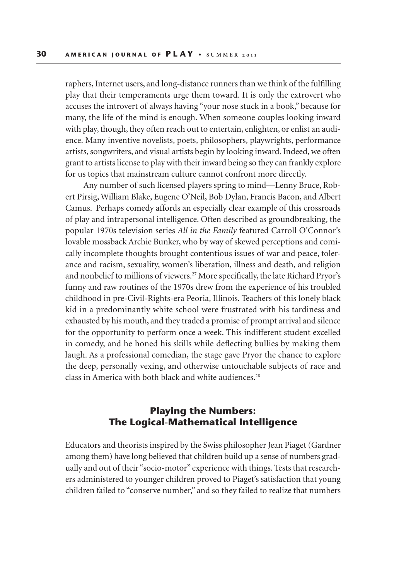raphers, Internet users, and long-distance runners than we think of the fulfilling play that their temperaments urge them toward. It is only the extrovert who accuses the introvert of always having "your nose stuck in a book," because for many, the life of the mind is enough. When someone couples looking inward with play, though, they often reach out to entertain, enlighten, or enlist an audience. Many inventive novelists, poets, philosophers, playwrights, performance artists, songwriters, and visual artists begin by looking inward. Indeed, we often grant to artists license to play with their inward being so they can frankly explore for us topics that mainstream culture cannot confront more directly.

Any number of such licensed players spring to mind—Lenny Bruce, Robert Pirsig, William Blake, Eugene O'Neil, Bob Dylan, Francis Bacon, and Albert Camus. Perhaps comedy affords an especially clear example of this crossroads of play and intrapersonal intelligence. Often described as groundbreaking, the popular 1970s television series *All in the Family* featured Carroll O'Connor's lovable mossback Archie Bunker, who by way of skewed perceptions and comically incomplete thoughts brought contentious issues of war and peace, tolerance and racism, sexuality, women's liberation, illness and death, and religion and nonbelief to millions of viewers.27 More specifically, the late Richard Pryor's funny and raw routines of the 1970s drew from the experience of his troubled childhood in pre-Civil-Rights-era Peoria, Illinois. Teachers of this lonely black kid in a predominantly white school were frustrated with his tardiness and exhausted by his mouth, and they traded a promise of prompt arrival and silence for the opportunity to perform once a week. This indifferent student excelled in comedy, and he honed his skills while deflecting bullies by making them laugh. As a professional comedian, the stage gave Pryor the chance to explore the deep, personally vexing, and otherwise untouchable subjects of race and class in America with both black and white audiences.<sup>28</sup>

## **Playing the Numbers: The Logical-Mathematical Intelligence**

Educators and theorists inspired by the Swiss philosopher Jean Piaget (Gardner among them) have long believed that children build up a sense of numbers gradually and out of their "socio-motor" experience with things. Tests that researchers administered to younger children proved to Piaget's satisfaction that young children failed to "conserve number," and so they failed to realize that numbers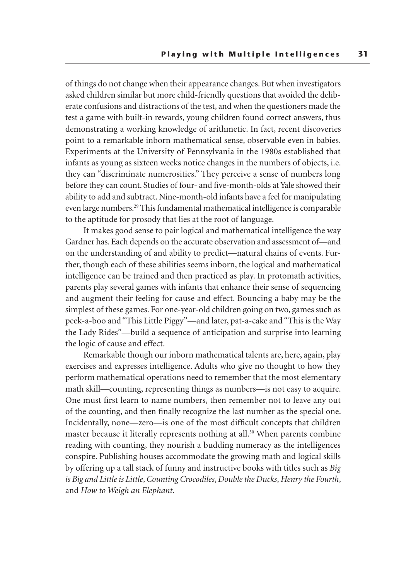of things do not change when their appearance changes. But when investigators asked children similar but more child-friendly questions that avoided the deliberate confusions and distractions of the test, and when the questioners made the test a game with built-in rewards, young children found correct answers, thus demonstrating a working knowledge of arithmetic. In fact, recent discoveries point to a remarkable inborn mathematical sense, observable even in babies. Experiments at the University of Pennsylvania in the 1980s established that infants as young as sixteen weeks notice changes in the numbers of objects, i.e. they can "discriminate numerosities." They perceive a sense of numbers long before they can count. Studies of four- and five-month-olds at Yale showed their ability to add and subtract. Nine-month-old infants have a feel for manipulating even large numbers.29 This fundamental mathematical intelligence is comparable to the aptitude for prosody that lies at the root of language.

It makes good sense to pair logical and mathematical intelligence the way Gardner has. Each depends on the accurate observation and assessment of—and on the understanding of and ability to predict—natural chains of events. Further, though each of these abilities seems inborn, the logical and mathematical intelligence can be trained and then practiced as play. In protomath activities, parents play several games with infants that enhance their sense of sequencing and augment their feeling for cause and effect. Bouncing a baby may be the simplest of these games. For one-year-old children going on two, games such as peek-a-boo and "This Little Piggy"—and later, pat-a-cake and "This is the Way the Lady Rides"—build a sequence of anticipation and surprise into learning the logic of cause and effect.

Remarkable though our inborn mathematical talents are, here, again, play exercises and expresses intelligence. Adults who give no thought to how they perform mathematical operations need to remember that the most elementary math skill—counting, representing things as numbers—is not easy to acquire. One must first learn to name numbers, then remember not to leave any out of the counting, and then finally recognize the last number as the special one. Incidentally, none—zero—is one of the most difficult concepts that children master because it literally represents nothing at all.<sup>30</sup> When parents combine reading with counting, they nourish a budding numeracy as the intelligences conspire. Publishing houses accommodate the growing math and logical skills by offering up a tall stack of funny and instructive books with titles such as *Big is Big and Little is Little*, *Counting Crocodiles*, *Double the Ducks*, *Henry the Fourth*, and *How to Weigh an Elephant*.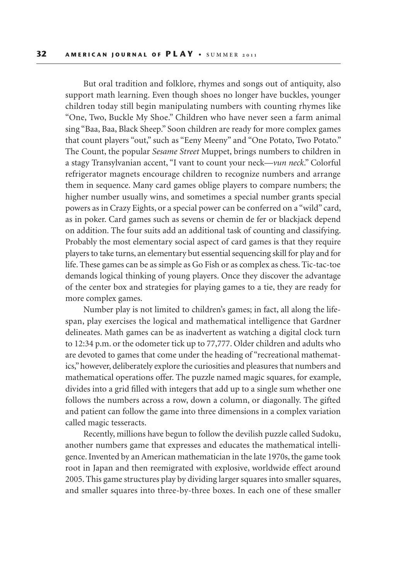But oral tradition and folklore, rhymes and songs out of antiquity, also support math learning. Even though shoes no longer have buckles, younger children today still begin manipulating numbers with counting rhymes like "One, Two, Buckle My Shoe." Children who have never seen a farm animal sing "Baa, Baa, Black Sheep." Soon children are ready for more complex games that count players "out," such as "Eeny Meeny" and "One Potato, Two Potato." The Count, the popular *Sesame Street* Muppet, brings numbers to children in a stagy Transylvanian accent, "I vant to count your neck—*vun neck*." Colorful refrigerator magnets encourage children to recognize numbers and arrange them in sequence. Many card games oblige players to compare numbers; the higher number usually wins, and sometimes a special number grants special powers as in Crazy Eights, or a special power can be conferred on a "wild" card, as in poker. Card games such as sevens or chemin de fer or blackjack depend on addition. The four suits add an additional task of counting and classifying. Probably the most elementary social aspect of card games is that they require players to take turns, an elementary but essential sequencing skill for play and for life. These games can be as simple as Go Fish or as complex as chess. Tic-tac-toe demands logical thinking of young players. Once they discover the advantage of the center box and strategies for playing games to a tie, they are ready for more complex games.

Number play is not limited to children's games; in fact, all along the lifespan, play exercises the logical and mathematical intelligence that Gardner delineates. Math games can be as inadvertent as watching a digital clock turn to 12:34 p.m. or the odometer tick up to 77,777. Older children and adults who are devoted to games that come under the heading of "recreational mathematics," however, deliberately explore the curiosities and pleasures that numbers and mathematical operations offer. The puzzle named magic squares, for example, divides into a grid filled with integers that add up to a single sum whether one follows the numbers across a row, down a column, or diagonally. The gifted and patient can follow the game into three dimensions in a complex variation called magic tesseracts.

Recently, millions have begun to follow the devilish puzzle called Sudoku, another numbers game that expresses and educates the mathematical intelligence. Invented by an American mathematician in the late 1970s, the game took root in Japan and then reemigrated with explosive, worldwide effect around 2005. This game structures play by dividing larger squares into smaller squares, and smaller squares into three-by-three boxes. In each one of these smaller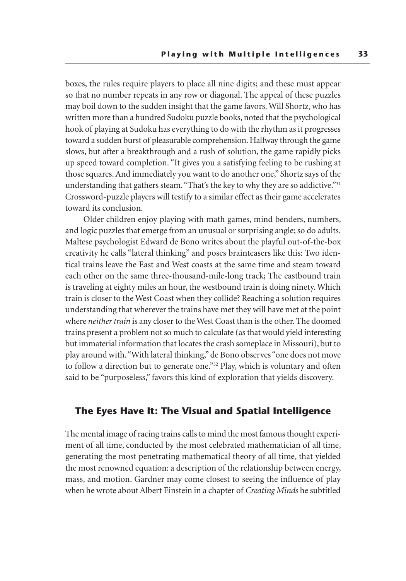boxes, the rules require players to place all nine digits; and these must appear so that no number repeats in any row or diagonal. The appeal of these puzzles may boil down to the sudden insight that the game favors. Will Shortz, who has written more than a hundred Sudoku puzzle books, noted that the psychological hook of playing at Sudoku has everything to do with the rhythm as it progresses toward a sudden burst of pleasurable comprehension. Halfway through the game slows, but after a breakthrough and a rush of solution, the game rapidly picks up speed toward completion. "It gives you a satisfying feeling to be rushing at those squares. And immediately you want to do another one," Shortz says of the understanding that gathers steam. "That's the key to why they are so addictive."<sup>31</sup> Crossword-puzzle players will testify to a similar effect as their game accelerates toward its conclusion.

Older children enjoy playing with math games, mind benders, numbers, and logic puzzles that emerge from an unusual or surprising angle; so do adults. Maltese psychologist Edward de Bono writes about the playful out-of-the-box creativity he calls "lateral thinking" and poses brainteasers like this: Two identical trains leave the East and West coasts at the same time and steam toward each other on the same three-thousand-mile-long track; The eastbound train is traveling at eighty miles an hour, the westbound train is doing ninety. Which train is closer to the West Coast when they collide? Reaching a solution requires understanding that wherever the trains have met they will have met at the point where *neither train* is any closer to the West Coast than is the other. The doomed trains present a problem not so much to calculate (as that would yield interesting but immaterial information that locates the crash someplace in Missouri), but to play around with. "With lateral thinking," de Bono observes "one does not move to follow a direction but to generate one."<sup>32</sup> Play, which is voluntary and often said to be "purposeless," favors this kind of exploration that yields discovery.

#### **The Eyes Have It: The Visual and Spatial Intelligence**

The mental image of racing trains calls to mind the most famous thought experiment of all time, conducted by the most celebrated mathematician of all time, generating the most penetrating mathematical theory of all time, that yielded the most renowned equation: a description of the relationship between energy, mass, and motion. Gardner may come closest to seeing the influence of play when he wrote about Albert Einstein in a chapter of *Creating Minds* he subtitled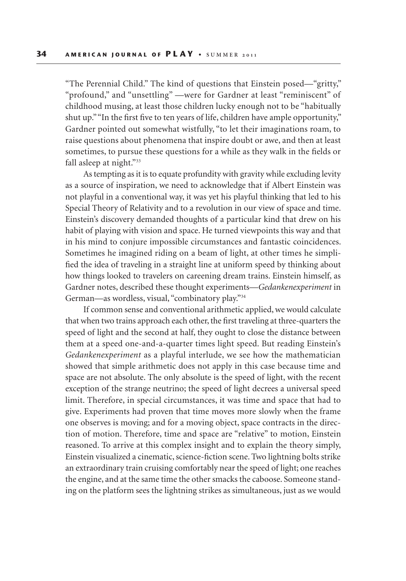"The Perennial Child." The kind of questions that Einstein posed—"gritty," "profound," and "unsettling" —were for Gardner at least "reminiscent" of childhood musing, at least those children lucky enough not to be "habitually shut up." "In the first five to ten years of life, children have ample opportunity," Gardner pointed out somewhat wistfully, "to let their imaginations roam, to raise questions about phenomena that inspire doubt or awe, and then at least sometimes, to pursue these questions for a while as they walk in the fields or fall asleep at night."<sup>33</sup>

As tempting as it is to equate profundity with gravity while excluding levity as a source of inspiration, we need to acknowledge that if Albert Einstein was not playful in a conventional way, it was yet his playful thinking that led to his Special Theory of Relativity and to a revolution in our view of space and time. Einstein's discovery demanded thoughts of a particular kind that drew on his habit of playing with vision and space. He turned viewpoints this way and that in his mind to conjure impossible circumstances and fantastic coincidences. Sometimes he imagined riding on a beam of light, at other times he simplified the idea of traveling in a straight line at uniform speed by thinking about how things looked to travelers on careening dream trains. Einstein himself, as Gardner notes, described these thought experiments—*Gedankenexperiment* in German—as wordless, visual, "combinatory play."34

If common sense and conventional arithmetic applied, we would calculate that when two trains approach each other, the first traveling at three-quarters the speed of light and the second at half, they ought to close the distance between them at a speed one-and-a-quarter times light speed. But reading Einstein's *Gedankenexperiment* as a playful interlude, we see how the mathematician showed that simple arithmetic does not apply in this case because time and space are not absolute. The only absolute is the speed of light, with the recent exception of the strange neutrino; the speed of light decrees a universal speed limit. Therefore, in special circumstances, it was time and space that had to give. Experiments had proven that time moves more slowly when the frame one observes is moving; and for a moving object, space contracts in the direction of motion. Therefore, time and space are "relative" to motion, Einstein reasoned. To arrive at this complex insight and to explain the theory simply, Einstein visualized a cinematic, science-fiction scene. Two lightning bolts strike an extraordinary train cruising comfortably near the speed of light; one reaches the engine, and at the same time the other smacks the caboose. Someone standing on the platform sees the lightning strikes as simultaneous, just as we would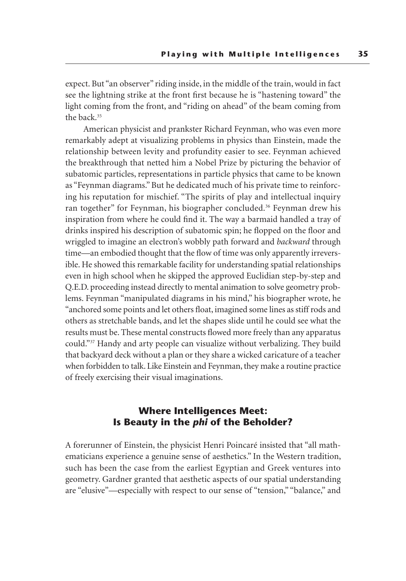expect. But "an observer" riding inside, in the middle of the train, would in fact see the lightning strike at the front first because he is "hastening toward" the light coming from the front, and "riding on ahead" of the beam coming from the back.<sup>35</sup>

American physicist and prankster Richard Feynman, who was even more remarkably adept at visualizing problems in physics than Einstein, made the relationship between levity and profundity easier to see. Feynman achieved the breakthrough that netted him a Nobel Prize by picturing the behavior of subatomic particles, representations in particle physics that came to be known as "Feynman diagrams." But he dedicated much of his private time to reinforcing his reputation for mischief. "The spirits of play and intellectual inquiry ran together" for Feynman, his biographer concluded.<sup>36</sup> Feynman drew his inspiration from where he could find it. The way a barmaid handled a tray of drinks inspired his description of subatomic spin; he flopped on the floor and wriggled to imagine an electron's wobbly path forward and *backward* through time—an embodied thought that the flow of time was only apparently irreversible. He showed this remarkable facility for understanding spatial relationships even in high school when he skipped the approved Euclidian step-by-step and Q.E.D. proceeding instead directly to mental animation to solve geometry problems. Feynman "manipulated diagrams in his mind," his biographer wrote, he "anchored some points and let others float, imagined some lines as stiff rods and others as stretchable bands, and let the shapes slide until he could see what the results must be. These mental constructs flowed more freely than any apparatus could."37 Handy and arty people can visualize without verbalizing. They build that backyard deck without a plan or they share a wicked caricature of a teacher when forbidden to talk. Like Einstein and Feynman, they make a routine practice of freely exercising their visual imaginations.

### **Where Intelligences Meet: Is Beauty in the** *phi* **of the Beholder?**

A forerunner of Einstein, the physicist Henri Poincaré insisted that "all mathematicians experience a genuine sense of aesthetics." In the Western tradition, such has been the case from the earliest Egyptian and Greek ventures into geometry. Gardner granted that aesthetic aspects of our spatial understanding are "elusive"—especially with respect to our sense of "tension," "balance," and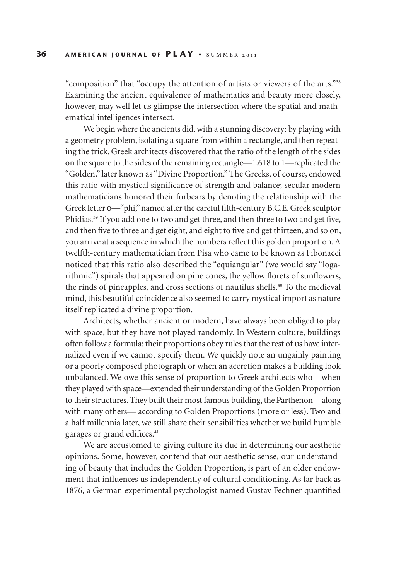"composition" that "occupy the attention of artists or viewers of the arts."38 Examining the ancient equivalence of mathematics and beauty more closely, however, may well let us glimpse the intersection where the spatial and mathematical intelligences intersect.

We begin where the ancients did, with a stunning discovery: by playing with a geometry problem, isolating a square from within a rectangle, and then repeating the trick, Greek architects discovered that the ratio of the length of the sides on the square to the sides of the remaining rectangle—1.618 to 1—replicated the "Golden," later known as "Divine Proportion." The Greeks, of course, endowed this ratio with mystical significance of strength and balance; secular modern mathematicians honored their forbears by denoting the relationship with the Greek letter φ*—*"phi," named after the careful fifth-century B.C.E. Greek sculptor Phidias.39 If you add one to two and get three, and then three to two and get five, and then five to three and get eight, and eight to five and get thirteen, and so on, you arrive at a sequence in which the numbers reflect this golden proportion. A twelfth-century mathematician from Pisa who came to be known as Fibonacci noticed that this ratio also described the "equiangular" (we would say "logarithmic") spirals that appeared on pine cones, the yellow florets of sunflowers, the rinds of pineapples, and cross sections of nautilus shells.40 To the medieval mind, this beautiful coincidence also seemed to carry mystical import as nature itself replicated a divine proportion.

Architects, whether ancient or modern, have always been obliged to play with space, but they have not played randomly. In Western culture, buildings often follow a formula: their proportions obey rules that the rest of us have internalized even if we cannot specify them. We quickly note an ungainly painting or a poorly composed photograph or when an accretion makes a building look unbalanced. We owe this sense of proportion to Greek architects who—when they played with space—extended their understanding of the Golden Proportion to their structures. They built their most famous building, the Parthenon—along with many others— according to Golden Proportions (more or less). Two and a half millennia later, we still share their sensibilities whether we build humble garages or grand edifices.<sup>41</sup>

We are accustomed to giving culture its due in determining our aesthetic opinions. Some, however, contend that our aesthetic sense, our understanding of beauty that includes the Golden Proportion, is part of an older endowment that influences us independently of cultural conditioning. As far back as 1876, a German experimental psychologist named Gustav Fechner quantified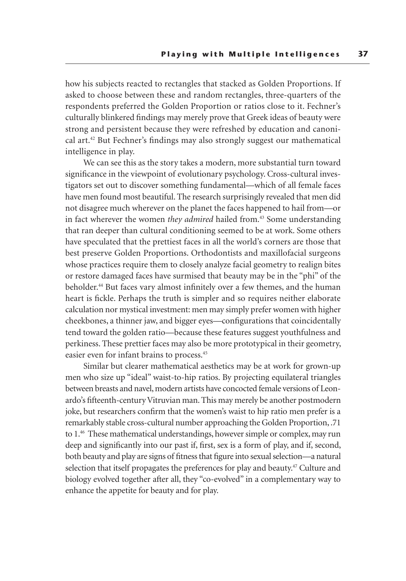how his subjects reacted to rectangles that stacked as Golden Proportions. If asked to choose between these and random rectangles, three-quarters of the respondents preferred the Golden Proportion or ratios close to it. Fechner's culturally blinkered findings may merely prove that Greek ideas of beauty were strong and persistent because they were refreshed by education and canonical art.42 But Fechner's findings may also strongly suggest our mathematical intelligence in play.

We can see this as the story takes a modern, more substantial turn toward significance in the viewpoint of evolutionary psychology. Cross-cultural investigators set out to discover something fundamental—which of all female faces have men found most beautiful. The research surprisingly revealed that men did not disagree much wherever on the planet the faces happened to hail from—or in fact wherever the women *they admired* hailed from.<sup>43</sup> Some understanding that ran deeper than cultural conditioning seemed to be at work. Some others have speculated that the prettiest faces in all the world's corners are those that best preserve Golden Proportions. Orthodontists and maxillofacial surgeons whose practices require them to closely analyze facial geometry to realign bites or restore damaged faces have surmised that beauty may be in the "phi" of the beholder.<sup>44</sup> But faces vary almost infinitely over a few themes, and the human heart is fickle. Perhaps the truth is simpler and so requires neither elaborate calculation nor mystical investment: men may simply prefer women with higher cheekbones, a thinner jaw, and bigger eyes—configurations that coincidentally tend toward the golden ratio—because these features suggest youthfulness and perkiness. These prettier faces may also be more prototypical in their geometry, easier even for infant brains to process.45

Similar but clearer mathematical aesthetics may be at work for grown-up men who size up "ideal" waist-to-hip ratios. By projecting equilateral triangles between breasts and navel, modern artists have concocted female versions of Leonardo's fifteenth-century Vitruvian man. This may merely be another postmodern joke, but researchers confirm that the women's waist to hip ratio men prefer is a remarkably stable cross-cultural number approaching the Golden Proportion, .71 to 1.<sup>46</sup> These mathematical understandings, however simple or complex, may run deep and significantly into our past if, first, sex is a form of play, and if, second, both beauty and play are signs of fitness that figure into sexual selection—a natural selection that itself propagates the preferences for play and beauty.<sup>47</sup> Culture and biology evolved together after all, they "co-evolved" in a complementary way to enhance the appetite for beauty and for play.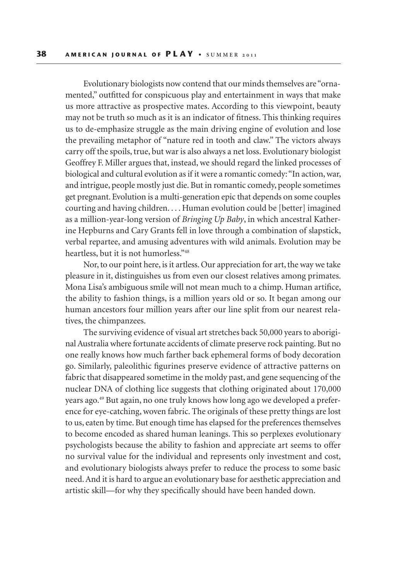Evolutionary biologists now contend that our minds themselves are "ornamented," outfitted for conspicuous play and entertainment in ways that make us more attractive as prospective mates. According to this viewpoint, beauty may not be truth so much as it is an indicator of fitness. This thinking requires us to de-emphasize struggle as the main driving engine of evolution and lose the prevailing metaphor of "nature red in tooth and claw." The victors always carry off the spoils, true, but war is also always a net loss. Evolutionary biologist Geoffrey F. Miller argues that, instead, we should regard the linked processes of biological and cultural evolution as if it were a romantic comedy: "In action, war, and intrigue, people mostly just die. But in romantic comedy, people sometimes get pregnant. Evolution is a multi-generation epic that depends on some couples courting and having children. . . . Human evolution could be [better] imagined as a million-year-long version of *Bringing Up Baby*, in which ancestral Katherine Hepburns and Cary Grants fell in love through a combination of slapstick, verbal repartee, and amusing adventures with wild animals. Evolution may be heartless, but it is not humorless."48

Nor, to our point here, is it artless. Our appreciation for art, the way we take pleasure in it, distinguishes us from even our closest relatives among primates. Mona Lisa's ambiguous smile will not mean much to a chimp. Human artifice, the ability to fashion things, is a million years old or so. It began among our human ancestors four million years after our line split from our nearest relatives, the chimpanzees.

The surviving evidence of visual art stretches back 50,000 years to aboriginal Australia where fortunate accidents of climate preserve rock painting. But no one really knows how much farther back ephemeral forms of body decoration go. Similarly, paleolithic figurines preserve evidence of attractive patterns on fabric that disappeared sometime in the moldy past, and gene sequencing of the nuclear DNA of clothing lice suggests that clothing originated about 170,000 years ago.49 But again, no one truly knows how long ago we developed a preference for eye-catching, woven fabric. The originals of these pretty things are lost to us, eaten by time. But enough time has elapsed for the preferences themselves to become encoded as shared human leanings. This so perplexes evolutionary psychologists because the ability to fashion and appreciate art seems to offer no survival value for the individual and represents only investment and cost, and evolutionary biologists always prefer to reduce the process to some basic need. And it is hard to argue an evolutionary base for aesthetic appreciation and artistic skill—for why they specifically should have been handed down.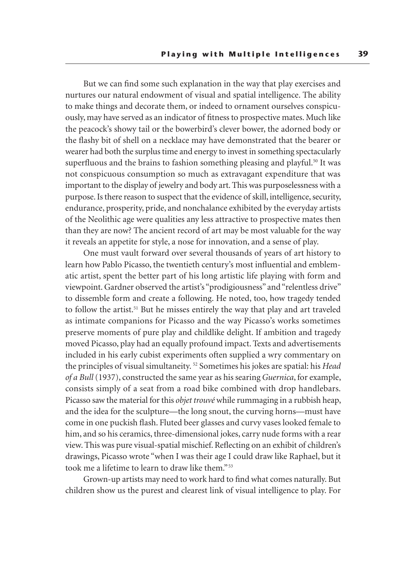But we can find some such explanation in the way that play exercises and nurtures our natural endowment of visual and spatial intelligence. The ability to make things and decorate them, or indeed to ornament ourselves conspicuously, may have served as an indicator of fitness to prospective mates. Much like the peacock's showy tail or the bowerbird's clever bower, the adorned body or the flashy bit of shell on a necklace may have demonstrated that the bearer or wearer had both the surplus time and energy to invest in something spectacularly superfluous and the brains to fashion something pleasing and playful.<sup>50</sup> It was not conspicuous consumption so much as extravagant expenditure that was important to the display of jewelry and body art. This was purposelessness with a purpose. Is there reason to suspect that the evidence of skill, intelligence, security, endurance, prosperity, pride, and nonchalance exhibited by the everyday artists of the Neolithic age were qualities any less attractive to prospective mates then than they are now? The ancient record of art may be most valuable for the way it reveals an appetite for style, a nose for innovation, and a sense of play.

One must vault forward over several thousands of years of art history to learn how Pablo Picasso, the twentieth century's most influential and emblematic artist, spent the better part of his long artistic life playing with form and viewpoint. Gardner observed the artist's "prodigiousness" and "relentless drive" to dissemble form and create a following. He noted, too, how tragedy tended to follow the artist.<sup>51</sup> But he misses entirely the way that play and art traveled as intimate companions for Picasso and the way Picasso's works sometimes preserve moments of pure play and childlike delight. If ambition and tragedy moved Picasso, play had an equally profound impact. Texts and advertisements included in his early cubist experiments often supplied a wry commentary on the principles of visual simultaneity. 52 Sometimes his jokes are spatial: his *Head of a Bull* (1937), constructed the same year as his searing *Guernica*, for example, consists simply of a seat from a road bike combined with drop handlebars. Picasso saw the material for this *objet trouvé* while rummaging in a rubbish heap, and the idea for the sculpture—the long snout, the curving horns—must have come in one puckish flash. Fluted beer glasses and curvy vases looked female to him, and so his ceramics, three-dimensional jokes, carry nude forms with a rear view. This was pure visual-spatial mischief. Reflecting on an exhibit of children's drawings, Picasso wrote "when I was their age I could draw like Raphael, but it took me a lifetime to learn to draw like them." 53

Grown-up artists may need to work hard to find what comes naturally. But children show us the purest and clearest link of visual intelligence to play. For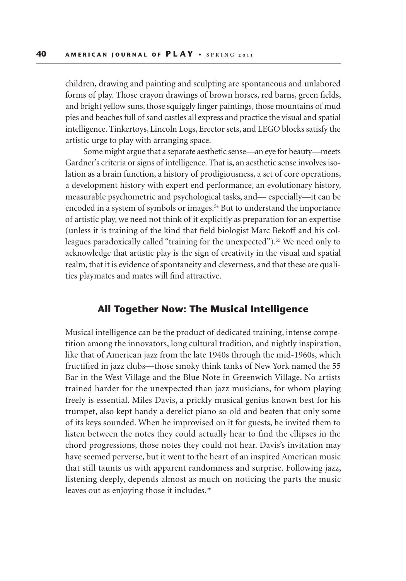children, drawing and painting and sculpting are spontaneous and unlabored forms of play. Those crayon drawings of brown horses, red barns, green fields, and bright yellow suns, those squiggly finger paintings, those mountains of mud pies and beaches full of sand castles all express and practice the visual and spatial intelligence. Tinkertoys, Lincoln Logs, Erector sets, and LEGO blocks satisfy the artistic urge to play with arranging space.

Some might argue that a separate aesthetic sense—an eye for beauty—meets Gardner's criteria or signs of intelligence. That is, an aesthetic sense involves isolation as a brain function, a history of prodigiousness, a set of core operations, a development history with expert end performance, an evolutionary history, measurable psychometric and psychological tasks, and— especially—it can be encoded in a system of symbols or images.<sup>54</sup> But to understand the importance of artistic play, we need not think of it explicitly as preparation for an expertise (unless it is training of the kind that field biologist Marc Bekoff and his colleagues paradoxically called "training for the unexpected").<sup>55</sup> We need only to acknowledge that artistic play is the sign of creativity in the visual and spatial realm, that it is evidence of spontaneity and cleverness, and that these are qualities playmates and mates will find attractive.

#### **All Together Now: The Musical Intelligence**

Musical intelligence can be the product of dedicated training, intense competition among the innovators, long cultural tradition, and nightly inspiration, like that of American jazz from the late 1940s through the mid-1960s, which fructified in jazz clubs—those smoky think tanks of New York named the 55 Bar in the West Village and the Blue Note in Greenwich Village. No artists trained harder for the unexpected than jazz musicians, for whom playing freely is essential. Miles Davis, a prickly musical genius known best for his trumpet, also kept handy a derelict piano so old and beaten that only some of its keys sounded. When he improvised on it for guests, he invited them to listen between the notes they could actually hear to find the ellipses in the chord progressions, those notes they could not hear. Davis's invitation may have seemed perverse, but it went to the heart of an inspired American music that still taunts us with apparent randomness and surprise. Following jazz, listening deeply, depends almost as much on noticing the parts the music leaves out as enjoying those it includes.<sup>56</sup>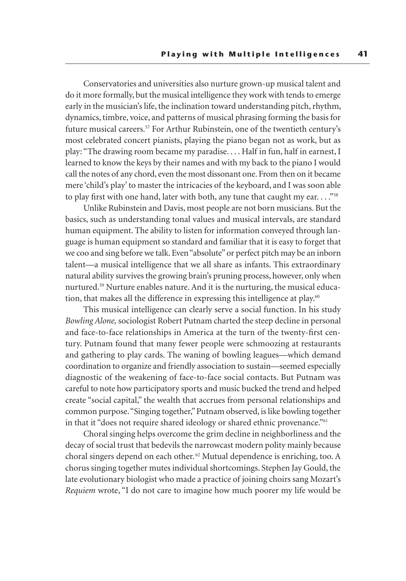Conservatories and universities also nurture grown-up musical talent and do it more formally, but the musical intelligence they work with tends to emerge early in the musician's life, the inclination toward understanding pitch, rhythm, dynamics, timbre, voice, and patterns of musical phrasing forming the basis for future musical careers.<sup>57</sup> For Arthur Rubinstein, one of the twentieth century's most celebrated concert pianists, playing the piano began not as work, but as play: "The drawing room became my paradise. . . . Half in fun, half in earnest, I learned to know the keys by their names and with my back to the piano I would call the notes of any chord, even the most dissonant one. From then on it became mere 'child's play' to master the intricacies of the keyboard, and I was soon able to play first with one hand, later with both, any tune that caught my ear. . . . "<sup>58</sup>

Unlike Rubinstein and Davis, most people are not born musicians. But the basics, such as understanding tonal values and musical intervals, are standard human equipment. The ability to listen for information conveyed through language is human equipment so standard and familiar that it is easy to forget that we coo and sing before we talk. Even "absolute" or perfect pitch may be an inborn talent—a musical intelligence that we all share as infants. This extraordinary natural ability survives the growing brain's pruning process, however, only when nurtured.59 Nurture enables nature. And it is the nurturing, the musical education, that makes all the difference in expressing this intelligence at play.<sup>60</sup>

This musical intelligence can clearly serve a social function. In his study *Bowling Alone,* sociologist Robert Putnam charted the steep decline in personal and face-to-face relationships in America at the turn of the twenty-first century. Putnam found that many fewer people were schmoozing at restaurants and gathering to play cards. The waning of bowling leagues—which demand coordination to organize and friendly association to sustain—seemed especially diagnostic of the weakening of face-to-face social contacts. But Putnam was careful to note how participatory sports and music bucked the trend and helped create "social capital," the wealth that accrues from personal relationships and common purpose. "Singing together," Putnam observed, is like bowling together in that it "does not require shared ideology or shared ethnic provenance."<sup>61</sup>

Choral singing helps overcome the grim decline in neighborliness and the decay of social trust that bedevils the narrowcast modern polity mainly because choral singers depend on each other. 62 Mutual dependence is enriching, too. A chorus singing together mutes individual shortcomings. Stephen Jay Gould, the late evolutionary biologist who made a practice of joining choirs sang Mozart's *Requiem* wrote, "I do not care to imagine how much poorer my life would be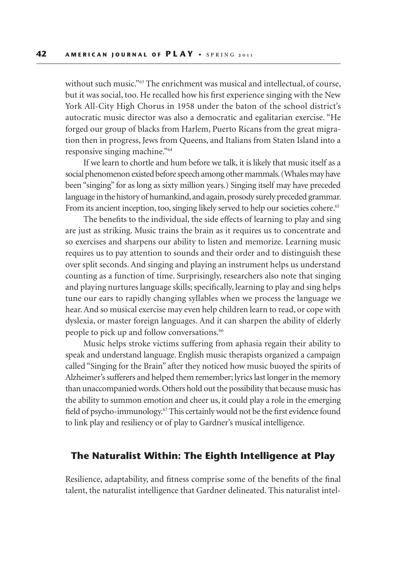without such music."<sup>63</sup> The enrichment was musical and intellectual, of course, but it was social, too. He recalled how his first experience singing with the New York All-City High Chorus in 1958 under the baton of the school district's autocratic music director was also a democratic and egalitarian exercise. "He forged our group of blacks from Harlem, Puerto Ricans from the great migration then in progress, Jews from Queens, and Italians from Staten Island into a responsive singing machine."64

If we learn to chortle and hum before we talk, it is likely that music itself as a social phenomenon existed before speech among other mammals. (Whales may have been "singing" for as long as sixty million years.) Singing itself may have preceded language in the history of humankind, and again, prosody surely preceded grammar. From its ancient inception, too, singing likely served to help our societies cohere.<sup>65</sup>

The benefits to the individual, the side effects of learning to play and sing are just as striking. Music trains the brain as it requires us to concentrate and so exercises and sharpens our ability to listen and memorize. Learning music requires us to pay attention to sounds and their order and to distinguish these over split seconds. And singing and playing an instrument helps us understand counting as a function of time. Surprisingly, researchers also note that singing and playing nurtures language skills; specifically, learning to play and sing helps tune our ears to rapidly changing syllables when we process the language we hear. And so musical exercise may even help children learn to read, or cope with dyslexia, or master foreign languages. And it can sharpen the ability of elderly people to pick up and follow conversations.<sup>66</sup>

Music helps stroke victims suffering from aphasia regain their ability to speak and understand language. English music therapists organized a campaign called "Singing for the Brain" after they noticed how music buoyed the spirits of Alzheimer's sufferers and helped them remember; lyrics last longer in the memory than unaccompanied words. Others hold out the possibility that because music has the ability to summon emotion and cheer us, it could play a role in the emerging field of psycho-immunology.67 This certainly would not be the first evidence found to link play and resiliency or of play to Gardner's musical intelligence.

# **The Naturalist Within: The Eighth Intelligence at Play**

Resilience, adaptability, and fitness comprise some of the benefits of the final talent, the naturalist intelligence that Gardner delineated. This naturalist intel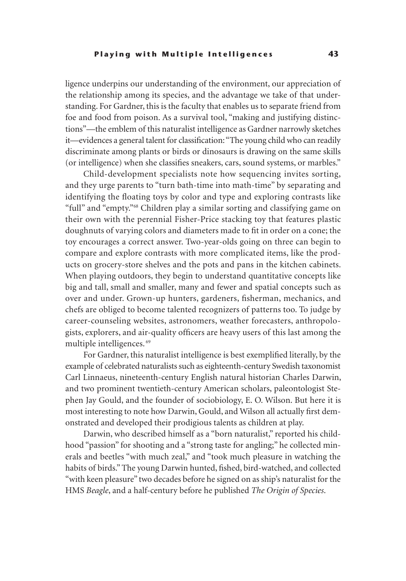ligence underpins our understanding of the environment, our appreciation of the relationship among its species, and the advantage we take of that understanding. For Gardner, this is the faculty that enables us to separate friend from foe and food from poison. As a survival tool, "making and justifying distinctions"—the emblem of this naturalist intelligence as Gardner narrowly sketches it—evidences a general talent for classification: "The young child who can readily discriminate among plants or birds or dinosaurs is drawing on the same skills (or intelligence) when she classifies sneakers, cars, sound systems, or marbles."

Child-development specialists note how sequencing invites sorting, and they urge parents to "turn bath-time into math-time" by separating and identifying the floating toys by color and type and exploring contrasts like "full" and "empty."68 Children play a similar sorting and classifying game on their own with the perennial Fisher-Price stacking toy that features plastic doughnuts of varying colors and diameters made to fit in order on a cone; the toy encourages a correct answer. Two-year-olds going on three can begin to compare and explore contrasts with more complicated items, like the products on grocery-store shelves and the pots and pans in the kitchen cabinets. When playing outdoors, they begin to understand quantitative concepts like big and tall, small and smaller, many and fewer and spatial concepts such as over and under. Grown-up hunters, gardeners, fisherman, mechanics, and chefs are obliged to become talented recognizers of patterns too. To judge by career-counseling websites, astronomers, weather forecasters, anthropologists, explorers, and air-quality officers are heavy users of this last among the multiple intelligences. 69

For Gardner, this naturalist intelligence is best exemplified literally, by the example of celebrated naturalists such as eighteenth-century Swedish taxonomist Carl Linnaeus, nineteenth-century English natural historian Charles Darwin, and two prominent twentieth-century American scholars, paleontologist Stephen Jay Gould, and the founder of sociobiology, E. O. Wilson. But here it is most interesting to note how Darwin, Gould, and Wilson all actually first demonstrated and developed their prodigious talents as children at play.

Darwin, who described himself as a "born naturalist," reported his childhood "passion" for shooting and a "strong taste for angling;" he collected minerals and beetles "with much zeal," and "took much pleasure in watching the habits of birds." The young Darwin hunted, fished, bird-watched, and collected "with keen pleasure" two decades before he signed on as ship's naturalist for the HMS *Beagle*, and a half-century before he published *The Origin of Species*.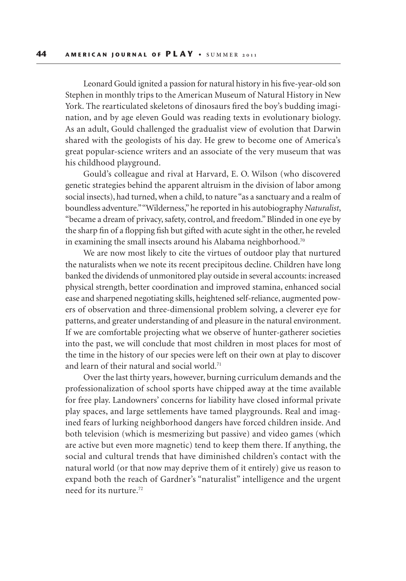Leonard Gould ignited a passion for natural history in his five-year-old son Stephen in monthly trips to the American Museum of Natural History in New York. The rearticulated skeletons of dinosaurs fired the boy's budding imagination, and by age eleven Gould was reading texts in evolutionary biology. As an adult, Gould challenged the gradualist view of evolution that Darwin shared with the geologists of his day. He grew to become one of America's great popular-science writers and an associate of the very museum that was his childhood playground.

Gould's colleague and rival at Harvard, E. O. Wilson (who discovered genetic strategies behind the apparent altruism in the division of labor among social insects), had turned, when a child, to nature "as a sanctuary and a realm of boundless adventure." "Wilderness," he reported in his autobiography *Naturalist*, "became a dream of privacy, safety, control, and freedom." Blinded in one eye by the sharp fin of a flopping fish but gifted with acute sight in the other, he reveled in examining the small insects around his Alabama neighborhood.<sup>70</sup>

We are now most likely to cite the virtues of outdoor play that nurtured the naturalists when we note its recent precipitous decline. Children have long banked the dividends of unmonitored play outside in several accounts: increased physical strength, better coordination and improved stamina, enhanced social ease and sharpened negotiating skills, heightened self-reliance, augmented powers of observation and three-dimensional problem solving, a cleverer eye for patterns, and greater understanding of and pleasure in the natural environment. If we are comfortable projecting what we observe of hunter-gatherer societies into the past, we will conclude that most children in most places for most of the time in the history of our species were left on their own at play to discover and learn of their natural and social world.<sup>71</sup>

Over the last thirty years, however, burning curriculum demands and the professionalization of school sports have chipped away at the time available for free play. Landowners' concerns for liability have closed informal private play spaces, and large settlements have tamed playgrounds. Real and imagined fears of lurking neighborhood dangers have forced children inside. And both television (which is mesmerizing but passive) and video games (which are active but even more magnetic) tend to keep them there. If anything, the social and cultural trends that have diminished children's contact with the natural world (or that now may deprive them of it entirely) give us reason to expand both the reach of Gardner's "naturalist" intelligence and the urgent need for its nurture.72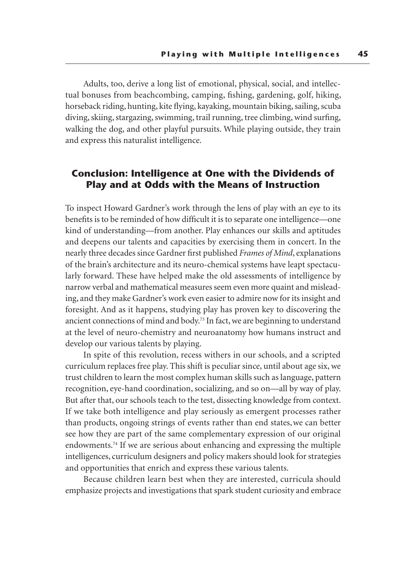Adults, too, derive a long list of emotional, physical, social, and intellectual bonuses from beachcombing, camping, fishing, gardening, golf, hiking, horseback riding, hunting, kite flying, kayaking, mountain biking, sailing, scuba diving, skiing, stargazing, swimming, trail running, tree climbing, wind surfing, walking the dog, and other playful pursuits. While playing outside, they train and express this naturalist intelligence.

## **Conclusion: Intelligence at One with the Dividends of Play and at Odds with the Means of Instruction**

To inspect Howard Gardner's work through the lens of play with an eye to its benefits is to be reminded of how difficult it is to separate one intelligence—one kind of understanding—from another. Play enhances our skills and aptitudes and deepens our talents and capacities by exercising them in concert. In the nearly three decades since Gardner first published *Frames of Mind*, explanations of the brain's architecture and its neuro-chemical systems have leapt spectacularly forward. These have helped make the old assessments of intelligence by narrow verbal and mathematical measures seem even more quaint and misleading, and they make Gardner's work even easier to admire now for its insight and foresight. And as it happens, studying play has proven key to discovering the ancient connections of mind and body.73 In fact, we are beginning to understand at the level of neuro-chemistry and neuroanatomy how humans instruct and develop our various talents by playing.

In spite of this revolution, recess withers in our schools, and a scripted curriculum replaces free play. This shift is peculiar since, until about age six, we trust children to learn the most complex human skills such as language, pattern recognition, eye-hand coordination, socializing, and so on—all by way of play. But after that, our schools teach to the test, dissecting knowledge from context. If we take both intelligence and play seriously as emergent processes rather than products, ongoing strings of events rather than end states, we can better see how they are part of the same complementary expression of our original endowments.74 If we are serious about enhancing and expressing the multiple intelligences, curriculum designers and policy makers should look for strategies and opportunities that enrich and express these various talents.

Because children learn best when they are interested, curricula should emphasize projects and investigations that spark student curiosity and embrace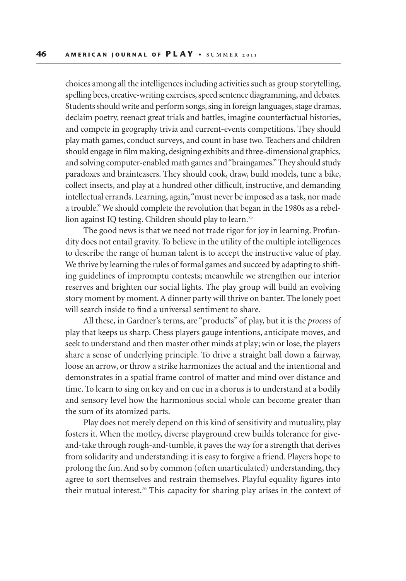choices among all the intelligences including activities such as group storytelling, spelling bees, creative-writing exercises, speed sentence diagramming, and debates. Students should write and perform songs, sing in foreign languages, stage dramas, declaim poetry, reenact great trials and battles, imagine counterfactual histories, and compete in geography trivia and current-events competitions. They should play math games, conduct surveys, and count in base two. Teachers and children should engage in film making, designing exhibits and three-dimensional graphics, and solving computer-enabled math games and "braingames." They should study paradoxes and brainteasers. They should cook, draw, build models, tune a bike, collect insects, and play at a hundred other difficult, instructive, and demanding intellectual errands. Learning, again, "must never be imposed as a task, nor made a trouble." We should complete the revolution that began in the 1980s as a rebellion against IQ testing. Children should play to learn.75

The good news is that we need not trade rigor for joy in learning. Profundity does not entail gravity. To believe in the utility of the multiple intelligences to describe the range of human talent is to accept the instructive value of play. We thrive by learning the rules of formal games and succeed by adapting to shifting guidelines of impromptu contests; meanwhile we strengthen our interior reserves and brighten our social lights. The play group will build an evolving story moment by moment. A dinner party will thrive on banter. The lonely poet will search inside to find a universal sentiment to share.

All these, in Gardner's terms, are "products" of play, but it is the *process* of play that keeps us sharp. Chess players gauge intentions, anticipate moves, and seek to understand and then master other minds at play; win or lose, the players share a sense of underlying principle. To drive a straight ball down a fairway, loose an arrow, or throw a strike harmonizes the actual and the intentional and demonstrates in a spatial frame control of matter and mind over distance and time. To learn to sing on key and on cue in a chorus is to understand at a bodily and sensory level how the harmonious social whole can become greater than the sum of its atomized parts.

Play does not merely depend on this kind of sensitivity and mutuality, play fosters it. When the motley, diverse playground crew builds tolerance for giveand-take through rough-and-tumble, it paves the way for a strength that derives from solidarity and understanding: it is easy to forgive a friend. Players hope to prolong the fun. And so by common (often unarticulated) understanding, they agree to sort themselves and restrain themselves. Playful equality figures into their mutual interest.76 This capacity for sharing play arises in the context of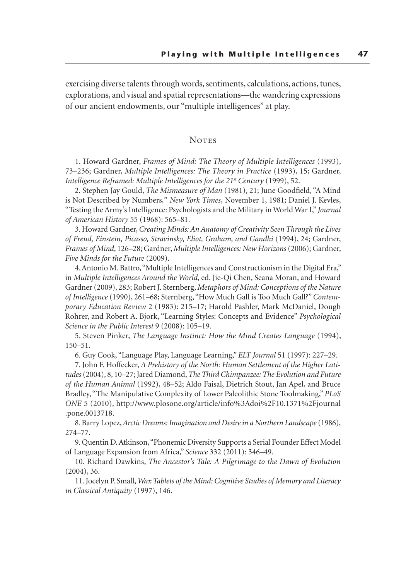exercising diverse talents through words, sentiments, calculations, actions, tunes, explorations, and visual and spatial representations—the wandering expressions of our ancient endowments, our "multiple intelligences" at play.

#### **NOTES**

1. Howard Gardner, *Frames of Mind: The Theory of Multiple Intelligences* (1993), 73–236; Gardner, *Multiple Intelligences: The Theory in Practice* (1993), 15; Gardner, *Intelligence Reframed: Multiple Intelligences for the 21st Century* (1999), 52.

2. Stephen Jay Gould, *The Mismeasure of Man* (1981), 21; June Goodfield, "A Mind is Not Described by Numbers*,*" *New York Times*, November 1, 1981; Daniel J. Kevles, "Testing the Army's Intelligence: Psychologists and the Military in World War I," *Journal of American History* 55 (1968): 565–81.

3. Howard Gardner, *Creating Minds: An Anatomy of Creativity Seen Through the Lives of Freud, Einstein, Picasso, Stravinsky, Eliot, Graham, and Gandhi* (1994), 24; Gardner, *Frames of Mind*, 126–28; Gardner, *Multiple Intelligences: New Horizons* (2006); Gardner, *Five Minds for the Future* (2009).

4. Antonio M. Battro, "Multiple Intelligences and Constructionism in the Digital Era," in *Multiple Intelligences Around the World*, ed. Jie-Qi Chen, Seana Moran, and Howard Gardner (2009), 283; Robert J. Sternberg, *Metaphors of Mind: Conceptions of the Nature of Intelligence* (1990), 261–68; Sternberg, "How Much Gall is Too Much Gall?" *Contemporary Education Review* 2 (1983): 215–17; Harold Pashler, Mark McDaniel, Dough Rohrer, and Robert A. Bjork, "Learning Styles: Concepts and Evidence" *Psychological Science in the Public Interest* 9 (2008): 105–19.

5. Steven Pinker, *The Language Instinct: How the Mind Creates Language* (1994), 150–51.

6. Guy Cook, "Language Play, Language Learning," *ELT Journal* 51 (1997): 227–29.

7. John F. Hoffecker, *A Prehistory of the North: Human Settlement of the Higher Latitudes* (2004), 8, 10–27; Jared Diamond, *The Third Chimpanzee: The Evolution and Future of the Human Animal* (1992), 48–52; Aldo Faisal, Dietrich Stout, Jan Apel, and Bruce Bradley, "The Manipulative Complexity of Lower Paleolithic Stone Toolmaking," *PLoS ONE* 5 (2010), http://www.plosone.org/article/info%3Adoi%2F10.1371%2Fjournal .pone.0013718.

8. Barry Lopez, *Arctic Dreams: Imagination and Desire in a Northern Landscape* (1986), 274–77.

9. Quentin D. Atkinson, "Phonemic Diversity Supports a Serial Founder Effect Model of Language Expansion from Africa," *Science* 332 (2011): 346–49.

10. Richard Dawkins, *The Ancestor's Tale: A Pilgrimage to the Dawn of Evolution* (2004), 36.

11. Jocelyn P. Small, *Wax Tablets of the Mind: Cognitive Studies of Memory and Literacy in Classical Antiquity* (1997), 146.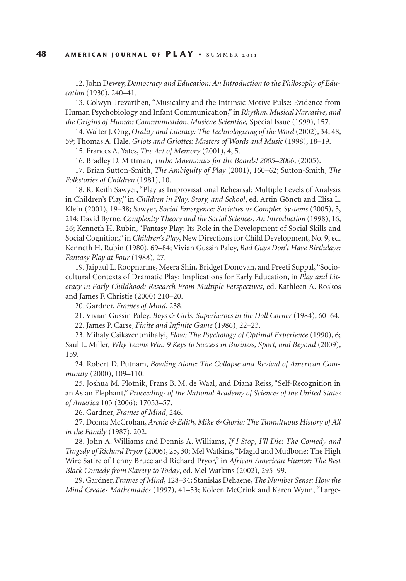12. John Dewey, *Democracy and Education: An Introduction to the Philosophy of Education* (1930), 240–41.

13. Colwyn Trevarthen, "Musicality and the Intrinsic Motive Pulse: Evidence from Human Psychobiology and Infant Communication," in *Rhythm, Musical Narrative, and the Origins of Human Communication*, *Musicae Scientiae,* Special Issue (1999), 157.

14. Walter J. Ong, *Orality and Literacy: The Technologizing of the Word* (2002), 34, 48, 59; Thomas A. Hale, *Griots and Griottes: Masters of Words and Music* (1998), 18–19.

15. Frances A. Yates, *The Art of Memory* (2001), 4, 5.

16. Bradley D. Mittman, *Turbo Mnemonics for the Boards! 2005–2006*, (2005).

17. Brian Sutton-Smith, *The Ambiguity of Play* (2001), 160–62; Sutton-Smith, *The Folkstories of Children* (1981), 10.

18. R. Keith Sawyer, "Play as Improvisational Rehearsal: Multiple Levels of Analysis in Children's Play," in *Children in Play, Story, and School*, ed. Artin Göncü and Elisa L. Klein (2001), 19–38; Sawyer, *Social Emergence: Societies as Complex Systems* (2005), 3, 214; David Byrne, *Complexity Theory and the Social Sciences: An Introduction* (1998), 16, 26; Kenneth H. Rubin, "Fantasy Play: Its Role in the Development of Social Skills and Social Cognition," in *Children's Play*, New Directions for Child Development, No. 9, ed. Kenneth H. Rubin (1980), 69–84; Vivian Gussin Paley, *Bad Guys Don't Have Birthdays: Fantasy Play at Four* (1988), 27.

19. Jaipaul L. Roopnarine, Meera Shin, Bridget Donovan, and Preeti Suppal, "Sociocultural Contexts of Dramatic Play: Implications for Early Education, in *Play and Literacy in Early Childhood: Research From Multiple Perspectives*, ed. Kathleen A. Roskos and James F. Christie (2000) 210–20.

20. Gardner, *Frames of Mind*, 238.

21. Vivian Gussin Paley, *Boys & Girls: Superheroes in the Doll Corner* (1984), 60–64.

22. James P. Carse, *Finite and Infinite Game* (1986), 22–23.

23. Mihaly Csikszentmihalyi, *Flow: The Psychology of Optimal Experience* (1990), 6; Saul L. Miller, *Why Teams Win: 9 Keys to Success in Business, Sport, and Beyond* (2009), 159.

24. Robert D. Putnam, *Bowling Alone: The Collapse and Revival of American Community* (2000), 109–110.

25. Joshua M. Plotnik, Frans B. M. de Waal, and Diana Reiss, "Self-Recognition in an Asian Elephant," *Proceedings of the National Academy of Sciences of the United States of America* 103 (2006): 17053–57.

26. Gardner, *Frames of Mind*, 246.

27. Donna McCrohan, *Archie & Edith, Mike & Gloria: The Tumultuous History of All in the Family* (1987), 202.

28. John A. Williams and Dennis A. Williams, *If I Stop, I'll Die: The Comedy and Tragedy of Richard Pryor* (2006), 25, 30; Mel Watkins, "Magid and Mudbone: The High Wire Satire of Lenny Bruce and Richard Pryor," in *African American Humor: The Best Black Comedy from Slavery to Today*, ed. Mel Watkins (2002), 295–99.

29. Gardner, *Frames of Mind*, 128–34; Stanislas Dehaene, *The Number Sense: How the Mind Creates Mathematics* (1997), 41–53; Koleen McCrink and Karen Wynn, "Large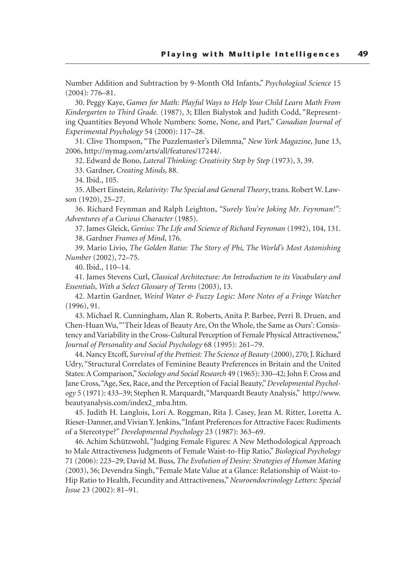Number Addition and Subtraction by 9-Month Old Infants," *Psychological Science* 15 (2004): 776–81.

30. Peggy Kaye, *Games for Math: Playful Ways to Help Your Child Learn Math From Kindergarten to Third Grade.* (1987), 3; Ellen Bialystok and Judith Codd, "Representing Quantities Beyond Whole Numbers: Some, None, and Part," *Canadian Journal of Experimental Psychology* 54 (2000): 117–28.

31. Clive Thompson, "The Puzzlemaster's Dilemma," *New York Magazine*, June 13, 2006, http://nymag.com/arts/all/features/17244/.

32. Edward de Bono, *Lateral Thinking: Creativity Step by Step* (1973), 3, 39.

33. Gardner, *Creating Minds*, 88.

34. Ibid., 105.

35. Albert Einstein, *Relativity: The Special and General Theory*, trans. Robert W. Lawson (1920), 25–27.

36. Richard Feynman and Ralph Leighton, *"Surely You're Joking Mr. Feynman!": Adventures of a Curious Character* (1985).

37. James Gleick, *Genius: The Life and Science of Richard Feynman* (1992), 104, 131. 38. Gardner *Frames of Mind*, 176.

39. Mario Livio, *The Golden Ratio: The Story of Phi, The World's Most Astonishing Number* (2002), 72–75.

40. Ibid., 110–14.

41. James Stevens Curl, *Classical Architecture: An Introduction to its Vocabulary and Essentials, With a Select Glossary of Terms* (2003), 13.

42. Martin Gardner, *Weird Water & Fuzzy Logic: More Notes of a Fringe Watcher* (1996), 91.

43. Michael R. Cunningham, Alan R. Roberts, Anita P. Barbee, Perri B. Druen, and Chen-Huan Wu, "'Their Ideas of Beauty Are, On the Whole, the Same as Ours': Consistency and Variability in the Cross-Cultural Perception of Female Physical Attractiveness," *Journal of Personality and Social Psychology* 68 (1995): 261–79.

44. Nancy Etcoff, *Survival of the Prettiest: The Science of Beauty* (2000), 270; J. Richard Udry, "Structural Correlates of Feminine Beauty Preferences in Britain and the United States: A Comparison," *Sociology and Social Research* 49 (1965): 330–42; John F. Cross and Jane Cross, "Age, Sex, Race, and the Perception of Facial Beauty," *Developmental Psychology* 5 (1971): 433–39; Stephen R. Marquardt, "Marquardt Beauty Analysis," http://www. beautyanalysis.com/index2\_mba.htm.

45. Judith H. Langlois, Lori A. Roggman, Rita J. Casey, Jean M. Ritter, Loretta A. Rieser-Danner, and Vivian Y. Jenkins, "Infant Preferences for Attractive Faces: Rudiments of a Stereotype?" *Developmental Psychology* 23 (1987): 363–69.

46. Achim Schützwohl, "Judging Female Figures: A New Methodological Approach to Male Attractiveness Judgments of Female Waist-to-Hip Ratio," *Biological Psychology* 71 (2006): 223–29; David M. Buss, *The Evolution of Desire: Strategies of Human Mating* (2003), 56; Devendra Singh, "Female Mate Value at a Glance: Relationship of Waist-to-Hip Ratio to Health, Fecundity and Attractiveness," *Neuroendocrinology Letters: Special Issue* 23 (2002): 81–91.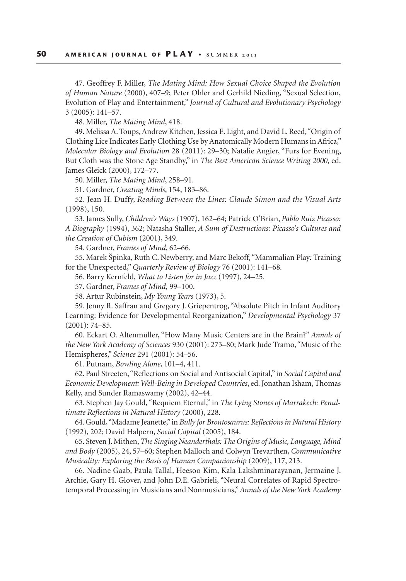47. Geoffrey F. Miller, *The Mating Mind: How Sexual Choice Shaped the Evolution of Human Nature* (2000), 407–9; Peter Ohler and Gerhild Nieding, "Sexual Selection, Evolution of Play and Entertainment," *Journal of Cultural and Evolutionary Psychology*  3 (2005): 141–57.

48. Miller, *The Mating Mind*, 418.

49. Melissa A. Toups, Andrew Kitchen, Jessica E. Light, and David L. Reed, "Origin of Clothing Lice Indicates Early Clothing Use by Anatomically Modern Humans in Africa," *Molecular Biology and Evolution* 28 (2011): 29–30; Natalie Angier, "Furs for Evening, But Cloth was the Stone Age Standby," in *The Best American Science Writing 2000*, ed. James Gleick (2000), 172–77.

50. Miller, *The Mating Mind*, 258–91.

51. Gardner, *Creating Minds*, 154, 183–86.

52. Jean H. Duffy, *Reading Between the Lines: Claude Simon and the Visual Arts*  (1998), 150.

53. James Sully, *Children's Ways* (1907), 162–64; Patrick O'Brian, *Pablo Ruiz Picasso: A Biography* (1994), 362; Natasha Staller, *A Sum of Destructions: Picasso's Cultures and the Creation of Cubism* (2001), 349.

54. Gardner, *Frames of Mind*, 62–66.

55. Marek Špinka*,* Ruth C. Newberry, and Marc Bekoff, "Mammalian Play*:* Training for the Unexpected," *Quarterly Review of Biology* 76 (2001): 141–68*.*

56. Barry Kernfeld, *What to Listen for in Jazz* (1997), 24–25.

57. Gardner, *Frames of Mind,* 99–100.

58. Artur Rubinstein, *My Young Years* (1973), 5.

59. Jenny R. Saffran and Gregory J. Griepentrog, "Absolute Pitch in Infant Auditory Learning: Evidence for Developmental Reorganization," *Developmental Psychology* 37 (2001): 74–85.

60. Eckart O. Altenmüller, "How Many Music Centers are in the Brain?" *Annals of the New York Academy of Sciences* 930 (2001): 273–80; Mark Jude Tramo, "Music of the Hemispheres," *Science* 291 (2001): 54–56.

61. Putnam, *Bowling Alone*, 101–4, 411.

62. Paul Streeten, "Reflections on Social and Antisocial Capital," in *Social Capital and Economic Development: Well-Being in Developed Countries*, ed. Jonathan Isham, Thomas Kelly, and Sunder Ramaswamy (2002), 42–44.

63. Stephen Jay Gould, "Requiem Eternal," in *The Lying Stones of Marrakech: Penultimate Reflections in Natural History* (2000), 228.

64. Gould, "Madame Jeanette," in *Bully for Brontosaurus: Reflections in Natural History* (1992), 202; David Halpern, *Social Capital* (2005), 184.

65. Steven J. Mithen, *The Singing Neanderthals: The Origins of Music, Language, Mind and Body* (2005), 24, 57–60; Stephen Malloch and Colwyn Trevarthen, *Communicative Musicality: Exploring the Basis of Human Companionship* (2009), 117, 213.

66. Nadine Gaab, Paula Tallal, Heesoo Kim, Kala Lakshminarayanan, Jermaine J. Archie, Gary H. Glover, and John D.E. Gabrieli, "Neural Correlates of Rapid Spectrotemporal Processing in Musicians and Nonmusicians," *Annals of the New York Academy*